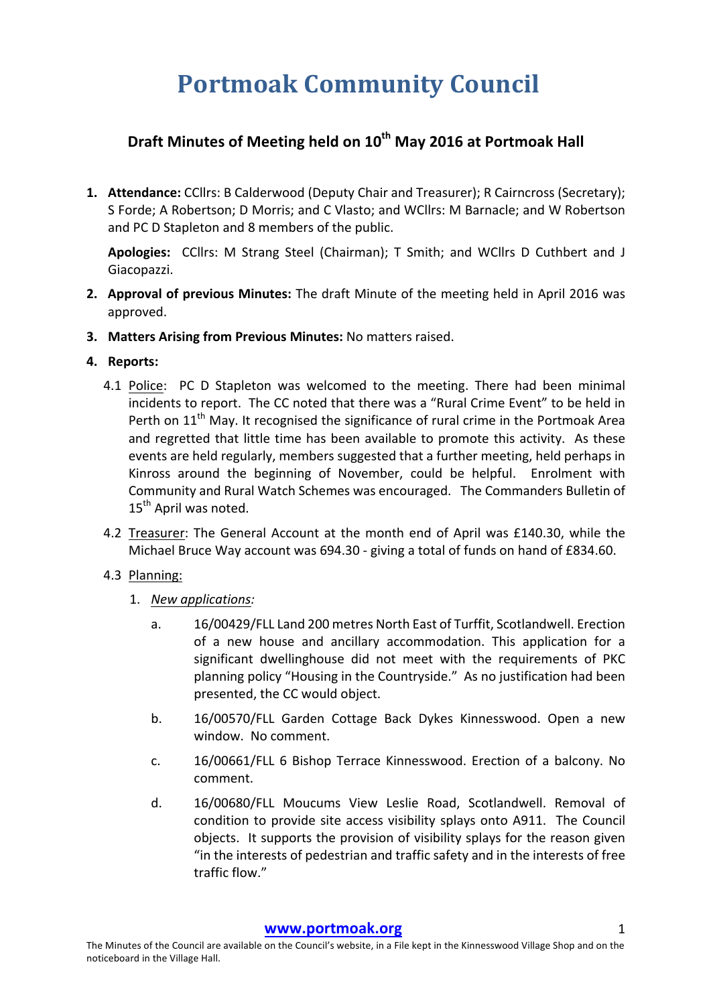# **Portmoak Community Council**

## **Draft Minutes of Meeting held on 10th May 2016 at Portmoak Hall**

**1. Attendance:** CCllrs: B Calderwood (Deputy Chair and Treasurer); R Cairncross (Secretary); S Forde; A Robertson; D Morris; and C Vlasto; and WCllrs: M Barnacle; and W Robertson and PC D Stapleton and 8 members of the public.

Apologies: CCllrs: M Strang Steel (Chairman); T Smith; and WCllrs D Cuthbert and J Giacopazzi.

- **2. Approval of previous Minutes:** The draft Minute of the meeting held in April 2016 was approved.
- **3.** Matters Arising from Previous Minutes: No matters raised.

#### **4.** Reports:

- 4.1 Police: PC D Stapleton was welcomed to the meeting. There had been minimal incidents to report. The CC noted that there was a "Rural Crime Event" to be held in Perth on  $11<sup>th</sup>$  May. It recognised the significance of rural crime in the Portmoak Area and regretted that little time has been available to promote this activity. As these events are held regularly, members suggested that a further meeting, held perhaps in Kinross around the beginning of November, could be helpful. Enrolment with Community and Rural Watch Schemes was encouraged. The Commanders Bulletin of 15<sup>th</sup> April was noted.
- 4.2 Treasurer: The General Account at the month end of April was £140.30, while the Michael Bruce Way account was 694.30 - giving a total of funds on hand of £834.60.

#### 4.3 Planning:

- 1. *New applications:*
	- a. 16/00429/FLL Land 200 metres North East of Turffit, Scotlandwell. Erection of a new house and ancillary accommodation. This application for a significant dwellinghouse did not meet with the requirements of PKC planning policy "Housing in the Countryside." As no justification had been presented, the CC would object.
	- b. 16/00570/FLL Garden Cottage Back Dykes Kinnesswood. Open a new window. No comment.
	- c. 16/00661/FLL 6 Bishop Terrace Kinnesswood. Erection of a balcony. No comment.
	- d. 16/00680/FLL Moucums View Leslie Road, Scotlandwell. Removal of condition to provide site access visibility splays onto A911. The Council objects. It supports the provision of visibility splays for the reason given "in the interests of pedestrian and traffic safety and in the interests of free traffic flow."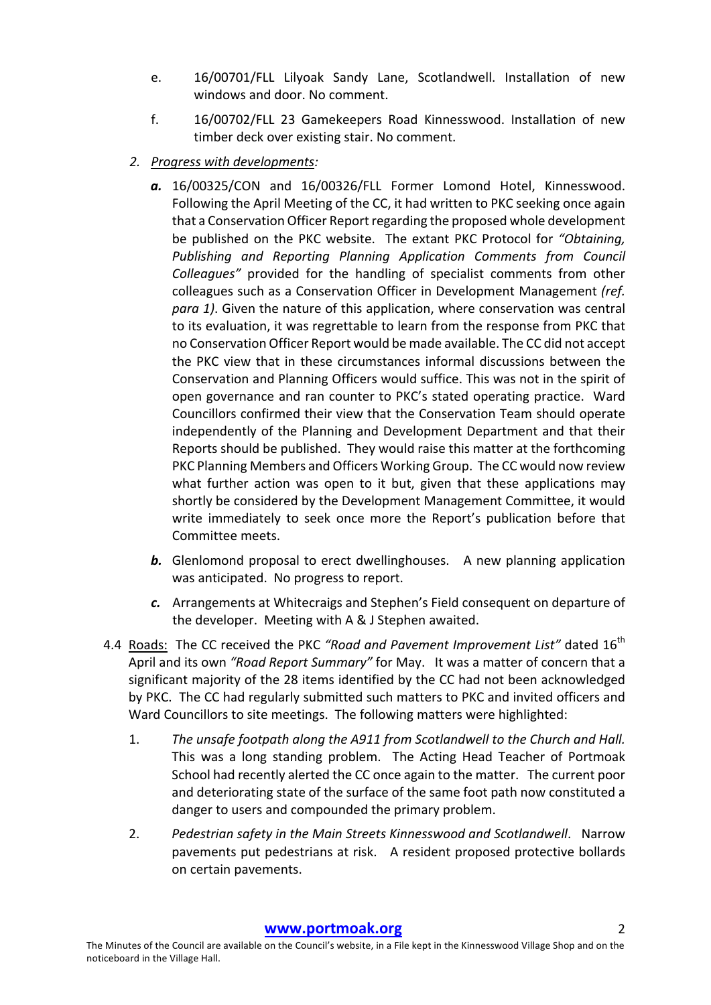- e. 16/00701/FLL Lilyoak Sandy Lane, Scotlandwell. Installation of new windows and door. No comment.
- f. 16/00702/FLL 23 Gamekeepers Road Kinnesswood. Installation of new timber deck over existing stair. No comment.
- *2. Progress with developments:*
	- a. 16/00325/CON and 16/00326/FLL Former Lomond Hotel, Kinnesswood. Following the April Meeting of the CC, it had written to PKC seeking once again that a Conservation Officer Report regarding the proposed whole development be published on the PKC website. The extant PKC Protocol for "Obtaining, **Publishing and Reporting Planning Application Comments from Council** *Colleagues*" provided for the handling of specialist comments from other colleagues such as a Conservation Officer in Development Management *(ref. para 1)*. Given the nature of this application, where conservation was central to its evaluation, it was regrettable to learn from the response from PKC that no Conservation Officer Report would be made available. The CC did not accept the PKC view that in these circumstances informal discussions between the Conservation and Planning Officers would suffice. This was not in the spirit of open governance and ran counter to PKC's stated operating practice. Ward Councillors confirmed their view that the Conservation Team should operate independently of the Planning and Development Department and that their Reports should be published. They would raise this matter at the forthcoming PKC Planning Members and Officers Working Group. The CC would now review what further action was open to it but, given that these applications may shortly be considered by the Development Management Committee, it would write immediately to seek once more the Report's publication before that Committee meets.
	- **b.** Glenlomond proposal to erect dwellinghouses. A new planning application was anticipated. No progress to report.
	- c. Arrangements at Whitecraigs and Stephen's Field consequent on departure of the developer. Meeting with A & J Stephen awaited.
- 4.4 Roads: The CC received the PKC "Road and Pavement Improvement List" dated 16<sup>th</sup> April and its own *"Road Report Summary"* for May. It was a matter of concern that a significant majority of the 28 items identified by the CC had not been acknowledged by PKC. The CC had regularly submitted such matters to PKC and invited officers and Ward Councillors to site meetings. The following matters were highlighted:
	- 1. The unsafe footpath along the A911 from Scotlandwell to the Church and Hall. This was a long standing problem. The Acting Head Teacher of Portmoak School had recently alerted the CC once again to the matter. The current poor and deteriorating state of the surface of the same foot path now constituted a danger to users and compounded the primary problem.
	- 2. Pedestrian safety in the Main Streets Kinnesswood and Scotlandwell. Narrow pavements put pedestrians at risk. A resident proposed protective bollards on certain pavements.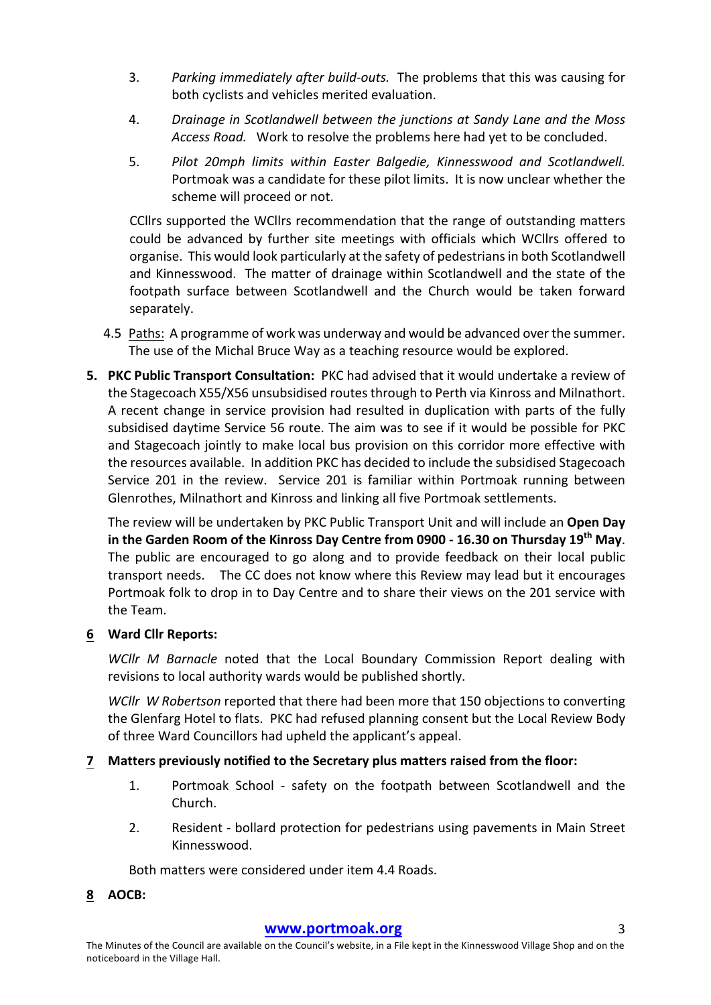- 3. Parking immediately after build-outs. The problems that this was causing for both cyclists and vehicles merited evaluation.
- 4. *Drainage in Scotlandwell between the junctions at Sandy Lane and the Moss Access Road.* Work to resolve the problems here had yet to be concluded.
- 5. *Pilot 20mph limits within Easter Balgedie, Kinnesswood and Scotlandwell.* Portmoak was a candidate for these pilot limits. It is now unclear whether the scheme will proceed or not.

CCIIrs supported the WCIIrs recommendation that the range of outstanding matters could be advanced by further site meetings with officials which WCllrs offered to organise. This would look particularly at the safety of pedestrians in both Scotlandwell and Kinnesswood. The matter of drainage within Scotlandwell and the state of the footpath surface between Scotlandwell and the Church would be taken forward separately.

- 4.5 Paths: A programme of work was underway and would be advanced over the summer. The use of the Michal Bruce Way as a teaching resource would be explored.
- **5. PKC Public Transport Consultation:** PKC had advised that it would undertake a review of the Stagecoach X55/X56 unsubsidised routes through to Perth via Kinross and Milnathort. A recent change in service provision had resulted in duplication with parts of the fully subsidised daytime Service 56 route. The aim was to see if it would be possible for PKC and Stagecoach jointly to make local bus provision on this corridor more effective with the resources available. In addition PKC has decided to include the subsidised Stagecoach Service 201 in the review. Service 201 is familiar within Portmoak running between Glenrothes, Milnathort and Kinross and linking all five Portmoak settlements.

The review will be undertaken by PKC Public Transport Unit and will include an Open Day in the Garden Room of the Kinross Day Centre from 0900 - 16.30 on Thursday 19<sup>th</sup> May. The public are encouraged to go along and to provide feedback on their local public transport needs. The CC does not know where this Review may lead but it encourages Portmoak folk to drop in to Day Centre and to share their views on the 201 service with the Team.

### **6 Ward Cllr Reports:**

*WCllr M Barnacle* noted that the Local Boundary Commission Report dealing with revisions to local authority wards would be published shortly.

*WCllr W* Robertson reported that there had been more that 150 objections to converting the Glenfarg Hotel to flats. PKC had refused planning consent but the Local Review Body of three Ward Councillors had upheld the applicant's appeal.

### **7** Matters previously notified to the Secretary plus matters raised from the floor:

- 1. Portmoak School safety on the footpath between Scotlandwell and the Church.
- 2. Resident bollard protection for pedestrians using pavements in Main Street Kinnesswood.

Both matters were considered under item 4.4 Roads.

**8 AOCB:**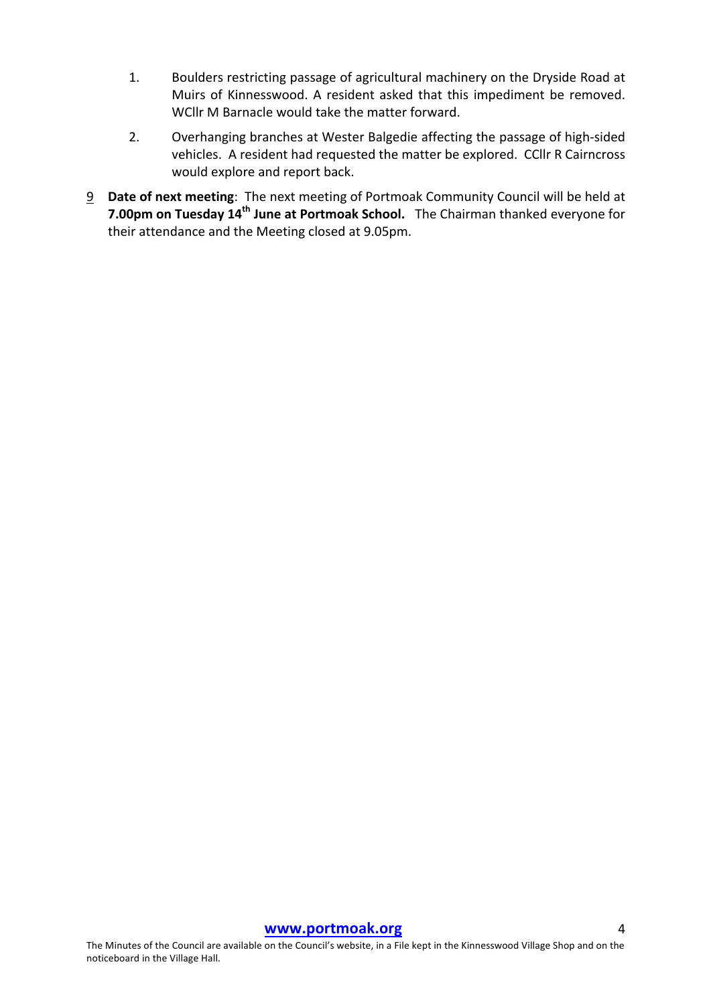- 1. Boulders restricting passage of agricultural machinery on the Dryside Road at Muirs of Kinnesswood. A resident asked that this impediment be removed. WCllr M Barnacle would take the matter forward.
- 2. Overhanging branches at Wester Balgedie affecting the passage of high-sided vehicles. A resident had requested the matter be explored. CCllr R Cairncross would explore and report back.
- 9 **Date of next meeting**: The next meeting of Portmoak Community Council will be held at **7.00pm on Tuesday 14<sup>th</sup> June at Portmoak School.** The Chairman thanked everyone for their attendance and the Meeting closed at 9.05pm.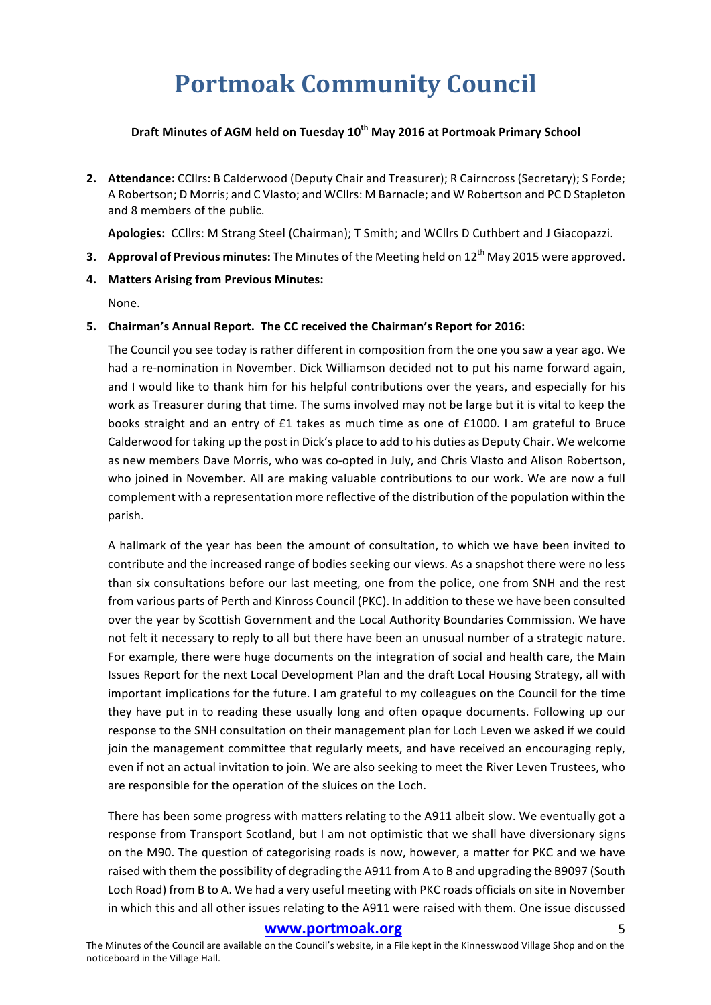# **Portmoak Community Council**

#### **Draft Minutes of AGM held on Tuesday 10<sup>th</sup> May 2016 at Portmoak Primary School**

**2. Attendance:** CCllrs: B Calderwood (Deputy Chair and Treasurer); R Cairncross (Secretary); S Forde; A Robertson; D Morris; and C Vlasto; and WCllrs: M Barnacle; and W Robertson and PC D Stapleton and 8 members of the public.

Apologies: CCllrs: M Strang Steel (Chairman); T Smith; and WCllrs D Cuthbert and J Giacopazzi.

**3. Approval of Previous minutes:** The Minutes of the Meeting held on 12<sup>th</sup> May 2015 were approved.

#### **4. Matters Arising from Previous Minutes:**

None.

#### **5.** Chairman's Annual Report. The CC received the Chairman's Report for 2016:

The Council you see today is rather different in composition from the one you saw a year ago. We had a re-nomination in November. Dick Williamson decided not to put his name forward again, and I would like to thank him for his helpful contributions over the years, and especially for his work as Treasurer during that time. The sums involved may not be large but it is vital to keep the books straight and an entry of £1 takes as much time as one of £1000. I am grateful to Bruce Calderwood for taking up the post in Dick's place to add to his duties as Deputy Chair. We welcome as new members Dave Morris, who was co-opted in July, and Chris Vlasto and Alison Robertson, who joined in November. All are making valuable contributions to our work. We are now a full complement with a representation more reflective of the distribution of the population within the parish.

A hallmark of the year has been the amount of consultation, to which we have been invited to contribute and the increased range of bodies seeking our views. As a snapshot there were no less than six consultations before our last meeting, one from the police, one from SNH and the rest from various parts of Perth and Kinross Council (PKC). In addition to these we have been consulted over the year by Scottish Government and the Local Authority Boundaries Commission. We have not felt it necessary to reply to all but there have been an unusual number of a strategic nature. For example, there were huge documents on the integration of social and health care, the Main Issues Report for the next Local Development Plan and the draft Local Housing Strategy, all with important implications for the future. I am grateful to my colleagues on the Council for the time they have put in to reading these usually long and often opaque documents. Following up our response to the SNH consultation on their management plan for Loch Leven we asked if we could join the management committee that regularly meets, and have received an encouraging reply, even if not an actual invitation to join. We are also seeking to meet the River Leven Trustees, who are responsible for the operation of the sluices on the Loch.

There has been some progress with matters relating to the A911 albeit slow. We eventually got a response from Transport Scotland, but I am not optimistic that we shall have diversionary signs on the M90. The question of categorising roads is now, however, a matter for PKC and we have raised with them the possibility of degrading the A911 from A to B and upgrading the B9097 (South Loch Road) from B to A. We had a very useful meeting with PKC roads officials on site in November in which this and all other issues relating to the A911 were raised with them. One issue discussed

#### **www.portmoak.org** 5

The Minutes of the Council are available on the Council's website, in a File kept in the Kinnesswood Village Shop and on the noticeboard in the Village Hall.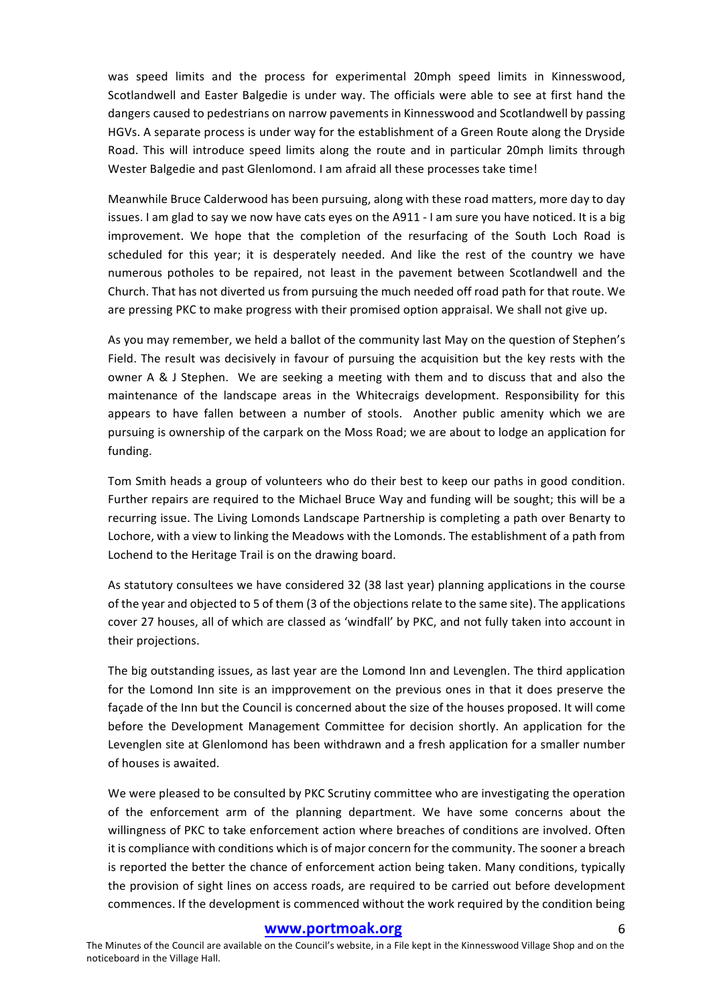was speed limits and the process for experimental 20mph speed limits in Kinnesswood, Scotlandwell and Easter Balgedie is under way. The officials were able to see at first hand the dangers caused to pedestrians on narrow pavements in Kinnesswood and Scotlandwell by passing HGVs. A separate process is under way for the establishment of a Green Route along the Dryside Road. This will introduce speed limits along the route and in particular 20mph limits through Wester Balgedie and past Glenlomond. I am afraid all these processes take time!

Meanwhile Bruce Calderwood has been pursuing, along with these road matters, more day to day issues. I am glad to say we now have cats eyes on the A911 - I am sure you have noticed. It is a big improvement. We hope that the completion of the resurfacing of the South Loch Road is scheduled for this year; it is desperately needed. And like the rest of the country we have numerous potholes to be repaired, not least in the pavement between Scotlandwell and the Church. That has not diverted us from pursuing the much needed off road path for that route. We are pressing PKC to make progress with their promised option appraisal. We shall not give up.

As you may remember, we held a ballot of the community last May on the question of Stephen's Field. The result was decisively in favour of pursuing the acquisition but the key rests with the owner A & J Stephen. We are seeking a meeting with them and to discuss that and also the maintenance of the landscape areas in the Whitecraigs development. Responsibility for this appears to have fallen between a number of stools. Another public amenity which we are pursuing is ownership of the carpark on the Moss Road; we are about to lodge an application for funding.

Tom Smith heads a group of volunteers who do their best to keep our paths in good condition. Further repairs are required to the Michael Bruce Way and funding will be sought; this will be a recurring issue. The Living Lomonds Landscape Partnership is completing a path over Benarty to Lochore, with a view to linking the Meadows with the Lomonds. The establishment of a path from Lochend to the Heritage Trail is on the drawing board.

As statutory consultees we have considered 32 (38 last year) planning applications in the course of the year and objected to 5 of them (3 of the objections relate to the same site). The applications cover 27 houses, all of which are classed as 'windfall' by PKC, and not fully taken into account in their projections.

The big outstanding issues, as last year are the Lomond Inn and Levenglen. The third application for the Lomond Inn site is an impprovement on the previous ones in that it does preserve the façade of the Inn but the Council is concerned about the size of the houses proposed. It will come before the Development Management Committee for decision shortly. An application for the Levenglen site at Glenlomond has been withdrawn and a fresh application for a smaller number of houses is awaited.

We were pleased to be consulted by PKC Scrutiny committee who are investigating the operation of the enforcement arm of the planning department. We have some concerns about the willingness of PKC to take enforcement action where breaches of conditions are involved. Often it is compliance with conditions which is of major concern for the community. The sooner a breach is reported the better the chance of enforcement action being taken. Many conditions, typically the provision of sight lines on access roads, are required to be carried out before development commences. If the development is commenced without the work required by the condition being

#### www.portmoak.org

The Minutes of the Council are available on the Council's website, in a File kept in the Kinnesswood Village Shop and on the noticeboard in the Village Hall.